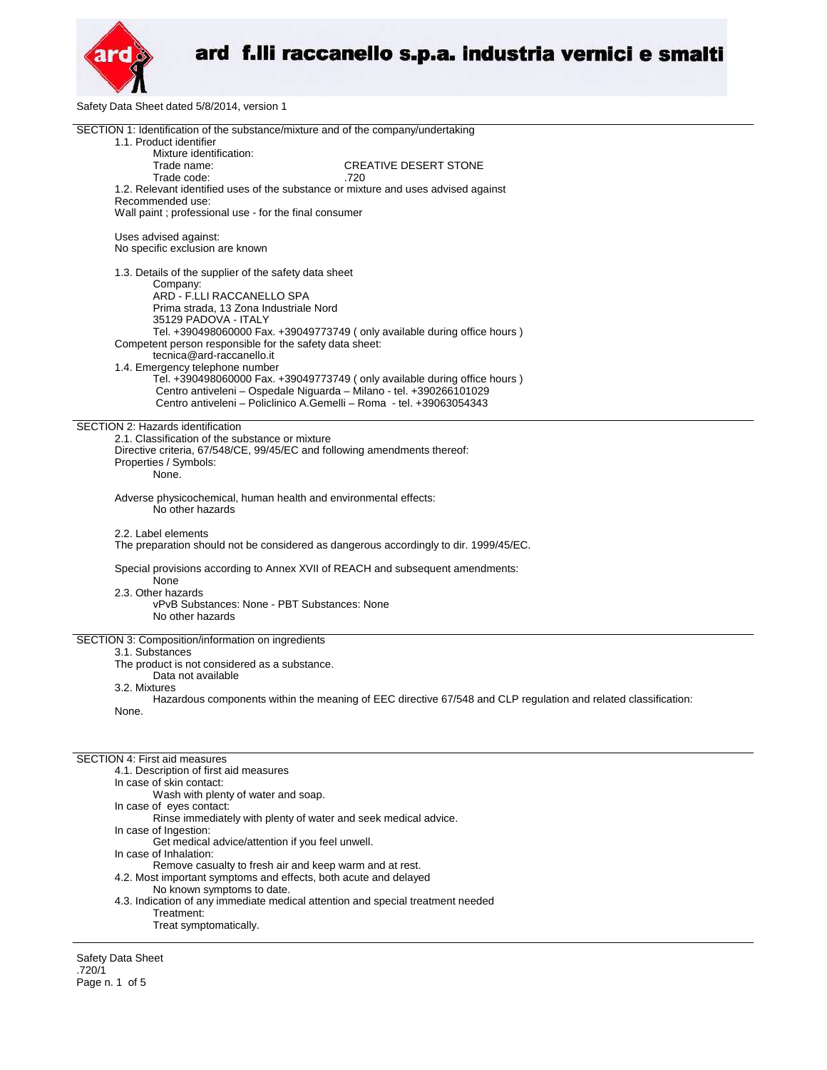

Safety Data Sheet dated 5/8/2014, version 1

| SECTION 1: Identification of the substance/mixture and of the company/undertaking<br>1.1. Product identifier   |  |  |  |
|----------------------------------------------------------------------------------------------------------------|--|--|--|
| Mixture identification:                                                                                        |  |  |  |
| Trade name:<br><b>CREATIVE DESERT STONE</b>                                                                    |  |  |  |
| Trade code:<br>.720<br>1.2. Relevant identified uses of the substance or mixture and uses advised against      |  |  |  |
| Recommended use:                                                                                               |  |  |  |
| Wall paint; professional use - for the final consumer                                                          |  |  |  |
| Uses advised against:                                                                                          |  |  |  |
| No specific exclusion are known                                                                                |  |  |  |
| 1.3. Details of the supplier of the safety data sheet                                                          |  |  |  |
| Company:<br>ARD - F.LLI RACCANELLO SPA                                                                         |  |  |  |
| Prima strada, 13 Zona Industriale Nord                                                                         |  |  |  |
| 35129 PADOVA - ITALY                                                                                           |  |  |  |
| Tel. +390498060000 Fax. +39049773749 (only available during office hours)                                      |  |  |  |
| Competent person responsible for the safety data sheet:<br>tecnica@ard-raccanello.it                           |  |  |  |
| 1.4. Emergency telephone number                                                                                |  |  |  |
| Tel. +390498060000 Fax. +39049773749 ( only available during office hours )                                    |  |  |  |
| Centro antiveleni - Ospedale Niguarda - Milano - tel. +390266101029                                            |  |  |  |
| Centro antiveleni - Policlinico A.Gemelli - Roma - tel. +39063054343                                           |  |  |  |
| SECTION 2: Hazards identification                                                                              |  |  |  |
| 2.1. Classification of the substance or mixture                                                                |  |  |  |
| Directive criteria, 67/548/CE, 99/45/EC and following amendments thereof:                                      |  |  |  |
| Properties / Symbols:<br>None.                                                                                 |  |  |  |
|                                                                                                                |  |  |  |
| Adverse physicochemical, human health and environmental effects:<br>No other hazards                           |  |  |  |
| 2.2. Label elements                                                                                            |  |  |  |
| The preparation should not be considered as dangerous accordingly to dir. 1999/45/EC.                          |  |  |  |
|                                                                                                                |  |  |  |
| Special provisions according to Annex XVII of REACH and subsequent amendments:<br>None                         |  |  |  |
| 2.3. Other hazards                                                                                             |  |  |  |
| vPvB Substances: None - PBT Substances: None                                                                   |  |  |  |
| No other hazards                                                                                               |  |  |  |
| SECTION 3: Composition/information on ingredients                                                              |  |  |  |
| 3.1. Substances                                                                                                |  |  |  |
| The product is not considered as a substance.<br>Data not available                                            |  |  |  |
| 3.2. Mixtures                                                                                                  |  |  |  |
| Hazardous components within the meaning of EEC directive 67/548 and CLP regulation and related classification: |  |  |  |
| None.                                                                                                          |  |  |  |
|                                                                                                                |  |  |  |
|                                                                                                                |  |  |  |
| <b>SECTION 4: First aid measures</b>                                                                           |  |  |  |
| 4.1. Description of first aid measures<br>In case of skin contact:                                             |  |  |  |
| Wash with plenty of water and soap.                                                                            |  |  |  |
| In case of eyes contact:                                                                                       |  |  |  |
| Rinse immediately with plenty of water and seek medical advice.                                                |  |  |  |
| In case of Ingestion:                                                                                          |  |  |  |
| Get medical advice/attention if you feel unwell.<br>In case of Inhalation:                                     |  |  |  |
|                                                                                                                |  |  |  |

Remove casualty to fresh air and keep warm and at rest.

- 4.2. Most important symptoms and effects, both acute and delayed
	- No known symptoms to date.
- 4.3. Indication of any immediate medical attention and special treatment needed Treatment:
	- Treat symptomatically.

Safety Data Sheet .720/1 Page n. 1 of 5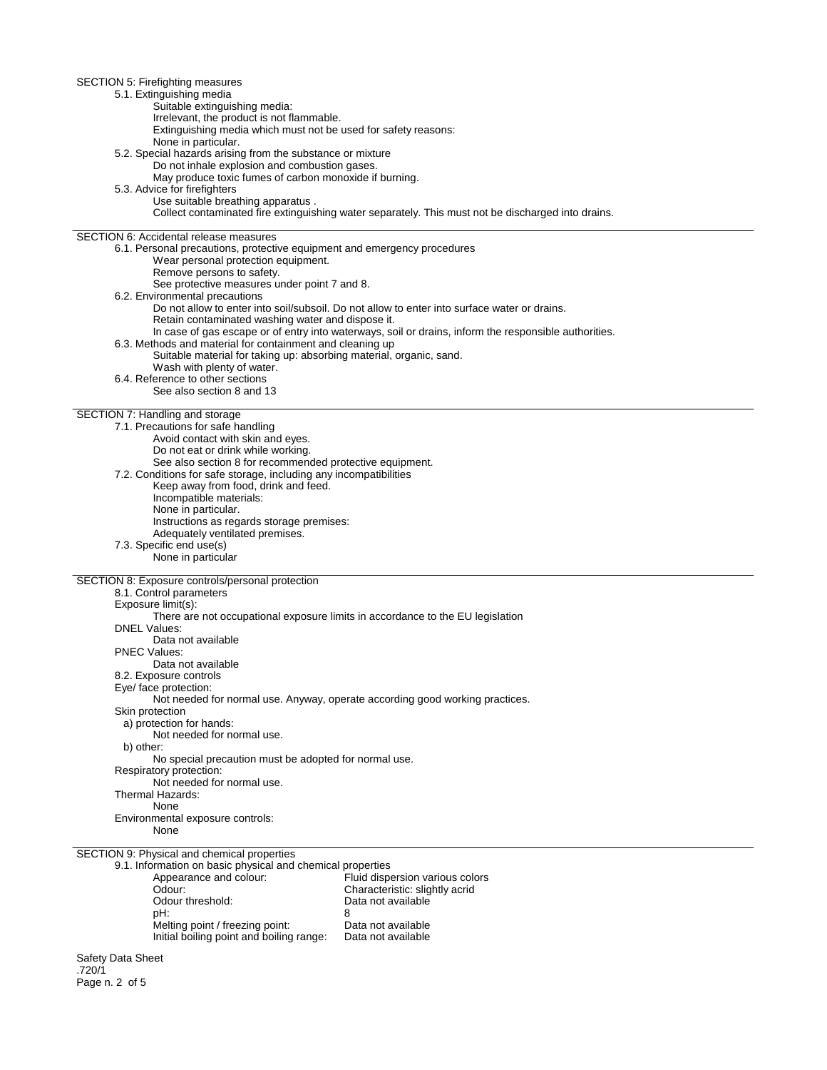SECTION 5: Firefighting measures 5.1. Extinguishing media Suitable extinguishing media: Irrelevant, the product is not flammable. Extinguishing media which must not be used for safety reasons: None in particular. 5.2. Special hazards arising from the substance or mixture Do not inhale explosion and combustion gases. May produce toxic fumes of carbon monoxide if burning. 5.3. Advice for firefighters Use suitable breathing apparatus . Collect contaminated fire extinguishing water separately. This must not be discharged into drains. SECTION 6: Accidental release measures 6.1. Personal precautions, protective equipment and emergency procedures Wear personal protection equipment. Remove persons to safety. See protective measures under point 7 and 8. 6.2. Environmental precautions Do not allow to enter into soil/subsoil. Do not allow to enter into surface water or drains. Retain contaminated washing water and dispose it. In case of gas escape or of entry into waterways, soil or drains, inform the responsible authorities. 6.3. Methods and material for containment and cleaning up Suitable material for taking up: absorbing material, organic, sand. Wash with plenty of water. 6.4. Reference to other sections See also section 8 and 13 SECTION 7: Handling and storage 7.1. Precautions for safe handling Avoid contact with skin and eyes. Do not eat or drink while working. See also section 8 for recommended protective equipment. 7.2. Conditions for safe storage, including any incompatibilities Keep away from food, drink and feed. Incompatible materials: None in particular. Instructions as regards storage premises: Adequately ventilated premises. 7.3. Specific end use(s) None in particular SECTION 8: Exposure controls/personal protection 8.1. Control parameters Exposure limit(s): There are not occupational exposure limits in accordance to the EU legislation DNEL Values: Data not available PNEC Values: Data not available 8.2. Exposure controls Eye/ face protection: Not needed for normal use. Anyway, operate according good working practices. Skin protection a) protection for hands: Not needed for normal use. b) other: No special precaution must be adopted for normal use. Respiratory protection: Not needed for normal use. Thermal Hazards: None Environmental exposure controls: None SECTION 9: Physical and chemical properties 9.1. Information on basic physical and chemical properties Appearance and colour:<br>
Odour: Characteristic: slightly acrid<br>
Characteristic: slightly acrid Odour: Characteristic: slightly acrid<br>
Odour threshold: Characteristic: slightly acrid<br>
Data not available Odour threshold: Data not available<br>
pH: 8 pH: 8 Melting point / freezing point: Data not available

Safety Data Sheet .720/1 Page n. 2 of 5

Initial boiling point and boiling range: Data not available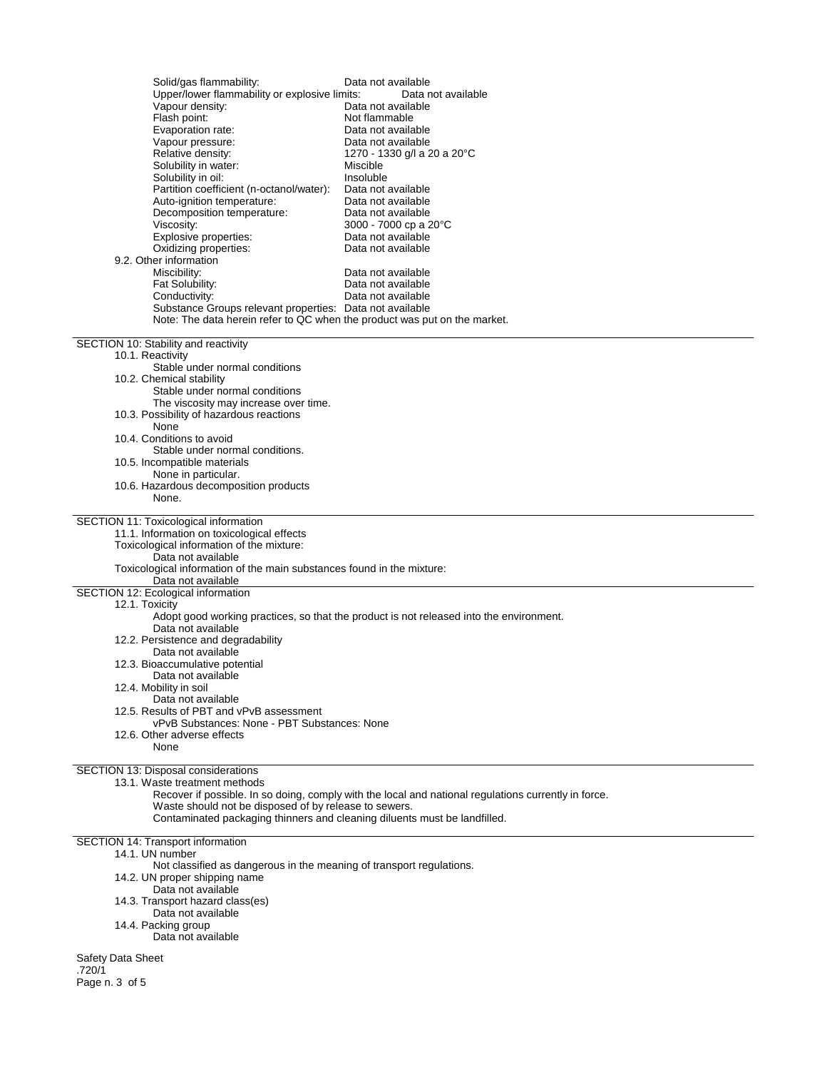| Solid/gas flammability:<br>Upper/lower flammability or explosive limits:<br>Vapour density:<br>Flash point:<br>Evaporation rate:<br>Vapour pressure:<br>Relative density:<br>Solubility in water:<br>Solubility in oil:<br>Partition coefficient (n-octanol/water):<br>Auto-ignition temperature:<br>Decomposition temperature:<br>Viscosity:<br>Explosive properties:<br>Oxidizing properties:<br>9.2. Other information<br>Miscibility:<br>Fat Solubility:<br>Conductivity:<br>Substance Groups relevant properties: Data not available<br>Note: The data herein refer to QC when the product was put on the market. | Data not available<br>Data not available<br>Data not available<br>Not flammable<br>Data not available<br>Data not available<br>1270 - 1330 g/l a 20 a 20°C<br>Miscible<br>Insoluble<br>Data not available<br>Data not available<br>Data not available<br>3000 - 7000 cp a 20 °C<br>Data not available<br>Data not available<br>Data not available<br>Data not available<br>Data not available |  |  |
|------------------------------------------------------------------------------------------------------------------------------------------------------------------------------------------------------------------------------------------------------------------------------------------------------------------------------------------------------------------------------------------------------------------------------------------------------------------------------------------------------------------------------------------------------------------------------------------------------------------------|-----------------------------------------------------------------------------------------------------------------------------------------------------------------------------------------------------------------------------------------------------------------------------------------------------------------------------------------------------------------------------------------------|--|--|
| SECTION 10: Stability and reactivity<br>10.1. Reactivity                                                                                                                                                                                                                                                                                                                                                                                                                                                                                                                                                               |                                                                                                                                                                                                                                                                                                                                                                                               |  |  |
| Stable under normal conditions                                                                                                                                                                                                                                                                                                                                                                                                                                                                                                                                                                                         |                                                                                                                                                                                                                                                                                                                                                                                               |  |  |
| 10.2. Chemical stability<br>Stable under normal conditions                                                                                                                                                                                                                                                                                                                                                                                                                                                                                                                                                             |                                                                                                                                                                                                                                                                                                                                                                                               |  |  |
| The viscosity may increase over time.                                                                                                                                                                                                                                                                                                                                                                                                                                                                                                                                                                                  |                                                                                                                                                                                                                                                                                                                                                                                               |  |  |
| 10.3. Possibility of hazardous reactions<br>None                                                                                                                                                                                                                                                                                                                                                                                                                                                                                                                                                                       |                                                                                                                                                                                                                                                                                                                                                                                               |  |  |
| 10.4. Conditions to avoid                                                                                                                                                                                                                                                                                                                                                                                                                                                                                                                                                                                              |                                                                                                                                                                                                                                                                                                                                                                                               |  |  |
| Stable under normal conditions.<br>10.5. Incompatible materials                                                                                                                                                                                                                                                                                                                                                                                                                                                                                                                                                        |                                                                                                                                                                                                                                                                                                                                                                                               |  |  |
| None in particular.<br>10.6. Hazardous decomposition products                                                                                                                                                                                                                                                                                                                                                                                                                                                                                                                                                          |                                                                                                                                                                                                                                                                                                                                                                                               |  |  |
| None.                                                                                                                                                                                                                                                                                                                                                                                                                                                                                                                                                                                                                  |                                                                                                                                                                                                                                                                                                                                                                                               |  |  |
| SECTION 11: Toxicological information<br>11.1. Information on toxicological effects<br>Toxicological information of the mixture:<br>Data not available<br>Toxicological information of the main substances found in the mixture:<br>Data not available                                                                                                                                                                                                                                                                                                                                                                 |                                                                                                                                                                                                                                                                                                                                                                                               |  |  |
| SECTION 12: Ecological information                                                                                                                                                                                                                                                                                                                                                                                                                                                                                                                                                                                     |                                                                                                                                                                                                                                                                                                                                                                                               |  |  |
| 12.1. Toxicity                                                                                                                                                                                                                                                                                                                                                                                                                                                                                                                                                                                                         | Adopt good working practices, so that the product is not released into the environment.                                                                                                                                                                                                                                                                                                       |  |  |
| Data not available<br>12.2. Persistence and degradability                                                                                                                                                                                                                                                                                                                                                                                                                                                                                                                                                              |                                                                                                                                                                                                                                                                                                                                                                                               |  |  |
| Data not available                                                                                                                                                                                                                                                                                                                                                                                                                                                                                                                                                                                                     |                                                                                                                                                                                                                                                                                                                                                                                               |  |  |
| 12.3. Bioaccumulative potential<br>Data not available                                                                                                                                                                                                                                                                                                                                                                                                                                                                                                                                                                  |                                                                                                                                                                                                                                                                                                                                                                                               |  |  |
| 12.4. Mobility in soil<br>Data not available                                                                                                                                                                                                                                                                                                                                                                                                                                                                                                                                                                           |                                                                                                                                                                                                                                                                                                                                                                                               |  |  |
| 12.5. Results of PBT and vPvB assessment                                                                                                                                                                                                                                                                                                                                                                                                                                                                                                                                                                               |                                                                                                                                                                                                                                                                                                                                                                                               |  |  |
| vPvB Substances: None - PBT Substances: None<br>12.6. Other adverse effects                                                                                                                                                                                                                                                                                                                                                                                                                                                                                                                                            |                                                                                                                                                                                                                                                                                                                                                                                               |  |  |
| None                                                                                                                                                                                                                                                                                                                                                                                                                                                                                                                                                                                                                   |                                                                                                                                                                                                                                                                                                                                                                                               |  |  |
| SECTION 13: Disposal considerations                                                                                                                                                                                                                                                                                                                                                                                                                                                                                                                                                                                    |                                                                                                                                                                                                                                                                                                                                                                                               |  |  |
| 13.1. Waste treatment methods                                                                                                                                                                                                                                                                                                                                                                                                                                                                                                                                                                                          | Recover if possible. In so doing, comply with the local and national regulations currently in force.                                                                                                                                                                                                                                                                                          |  |  |
| Waste should not be disposed of by release to sewers.                                                                                                                                                                                                                                                                                                                                                                                                                                                                                                                                                                  |                                                                                                                                                                                                                                                                                                                                                                                               |  |  |
| Contaminated packaging thinners and cleaning diluents must be landfilled.                                                                                                                                                                                                                                                                                                                                                                                                                                                                                                                                              |                                                                                                                                                                                                                                                                                                                                                                                               |  |  |
| SECTION 14: Transport information<br>14.1. UN number                                                                                                                                                                                                                                                                                                                                                                                                                                                                                                                                                                   |                                                                                                                                                                                                                                                                                                                                                                                               |  |  |
| Not classified as dangerous in the meaning of transport regulations.                                                                                                                                                                                                                                                                                                                                                                                                                                                                                                                                                   |                                                                                                                                                                                                                                                                                                                                                                                               |  |  |
| 14.2. UN proper shipping name<br>Data not available                                                                                                                                                                                                                                                                                                                                                                                                                                                                                                                                                                    |                                                                                                                                                                                                                                                                                                                                                                                               |  |  |
| 14.3. Transport hazard class(es)<br>Data not available                                                                                                                                                                                                                                                                                                                                                                                                                                                                                                                                                                 |                                                                                                                                                                                                                                                                                                                                                                                               |  |  |
| 14.4. Packing group                                                                                                                                                                                                                                                                                                                                                                                                                                                                                                                                                                                                    |                                                                                                                                                                                                                                                                                                                                                                                               |  |  |
| Data not available                                                                                                                                                                                                                                                                                                                                                                                                                                                                                                                                                                                                     |                                                                                                                                                                                                                                                                                                                                                                                               |  |  |
| Safety Data Sheet<br>.720/1                                                                                                                                                                                                                                                                                                                                                                                                                                                                                                                                                                                            |                                                                                                                                                                                                                                                                                                                                                                                               |  |  |
| Page n. 3 of 5                                                                                                                                                                                                                                                                                                                                                                                                                                                                                                                                                                                                         |                                                                                                                                                                                                                                                                                                                                                                                               |  |  |
|                                                                                                                                                                                                                                                                                                                                                                                                                                                                                                                                                                                                                        |                                                                                                                                                                                                                                                                                                                                                                                               |  |  |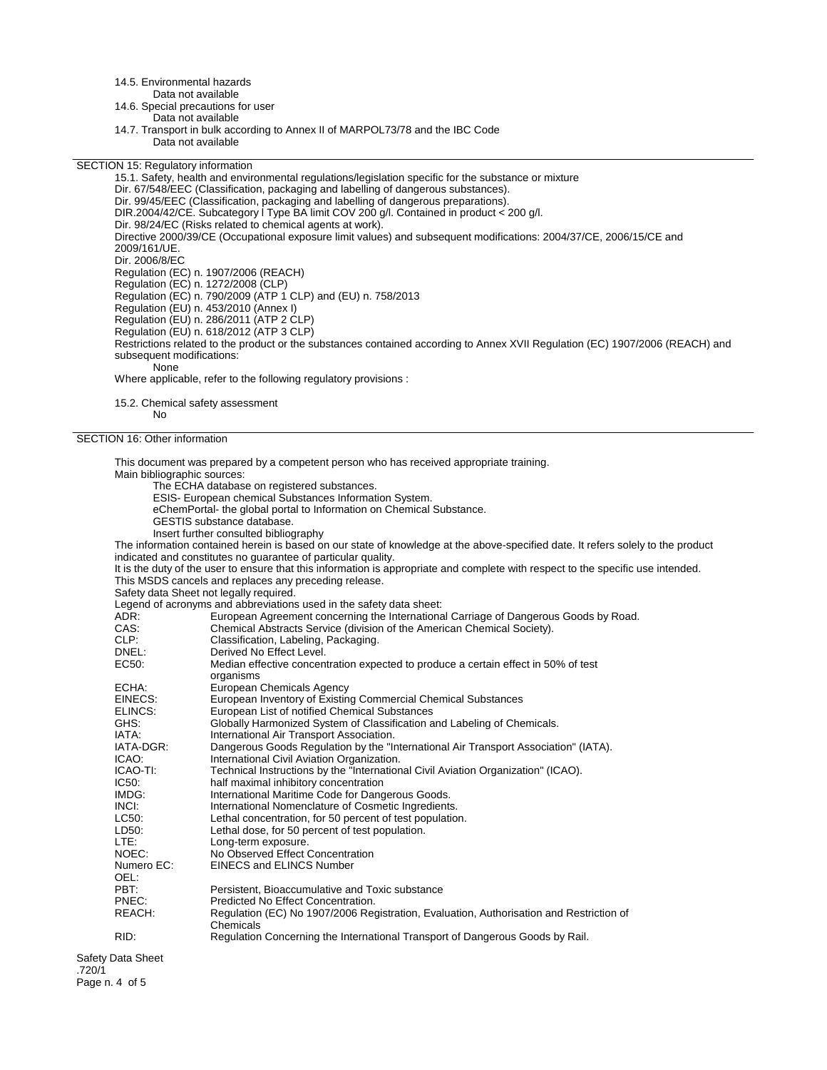14.5. Environmental hazards

Data not available

14.6. Special precautions for user Data not available

14.7. Transport in bulk according to Annex II of MARPOL73/78 and the IBC Code Data not available

SECTION 15: Regulatory information

15.1. Safety, health and environmental regulations/legislation specific for the substance or mixture Dir. 67/548/EEC (Classification, packaging and labelling of dangerous substances). Dir. 99/45/EEC (Classification, packaging and labelling of dangerous preparations). DIR.2004/42/CE. Subcategory l Type BA limit COV 200 g/l. Contained in product < 200 g/l. Dir. 98/24/EC (Risks related to chemical agents at work). Directive 2000/39/CE (Occupational exposure limit values) and subsequent modifications: 2004/37/CE, 2006/15/CE and 2009/161/UE. Dir. 2006/8/EC Regulation (EC) n. 1907/2006 (REACH) Regulation (EC) n. 1272/2008 (CLP) Regulation (EC) n. 790/2009 (ATP 1 CLP) and (EU) n. 758/2013 Regulation (EU) n. 453/2010 (Annex I) Regulation (EU) n. 286/2011 (ATP 2 CLP) Regulation (EU) n. 618/2012 (ATP 3 CLP) Restrictions related to the product or the substances contained according to Annex XVII Regulation (EC) 1907/2006 (REACH) and subsequent modifications: None Where applicable, refer to the following regulatory provisions :

15.2. Chemical safety assessment No

SECTION 16: Other information

This document was prepared by a competent person who has received appropriate training. Main bibliographic sources: The ECHA database on registered substances. ESIS- European chemical Substances Information System. eChemPortal- the global portal to Information on Chemical Substance. GESTIS substance database. Insert further consulted bibliography The information contained herein is based on our state of knowledge at the above-specified date. It refers solely to the product indicated and constitutes no guarantee of particular quality. It is the duty of the user to ensure that this information is appropriate and complete with respect to the specific use intended. This MSDS cancels and replaces any preceding release. Safety data Sheet not legally required. Legend of acronyms and abbreviations used in the safety data sheet:<br>ADR: European Agreement concerning the Internationa ADR: European Agreement concerning the International Carriage of Dangerous Goods by Road.<br>CAS: Chemical Abstracts Service (division of the American Chemical Society). Chemical Abstracts Service (division of the American Chemical Society). CLP: Classification, Labeling, Packaging.<br>
Derived No Effect Level. DNEL:<br>
EC50: Derived No Effect Level.<br>
Median effective concen Median effective concentration expected to produce a certain effect in 50% of test organisms ECHA: European Chemicals Agency<br>EINECS: European Inventory of Existin EINECS: European Inventory of Existing Commercial Chemical Substances<br>ELINCS: European List of notified Chemical Substances ELINCS: European List of notified Chemical Substances<br>GHS: Globally Harmonized System of Classification a GHS: Globally Harmonized System of Classification and Labeling of Chemicals.<br>
IATA: laternational Air Transport Association. IATA: International Air Transport Association.<br>IATA-DGR: Dangerous Goods Regulation by the "Ir Dangerous Goods Regulation by the "International Air Transport Association" (IATA). ICAO: International Civil Aviation Organization.<br>ICAO-TI: Technical Instructions by the "Internation ICAO-TI: Technical Instructions by the "International Civil Aviation Organization" (ICAO).<br>IC50: half maximal inhibitory concentration IC50: half maximal inhibitory concentration<br>IMDG: lnternational Maritime Code for Dang International Maritime Code for Dangerous Goods. INCI:<br>IC50: International Nomenclature of Cosmetic Ingredients.<br>IC50: Inthe Indian Concentration. for 50 percent of test population LC50: Lethal concentration, for 50 percent of test population.<br>LD50: Lethal dose, for 50 percent of test population. LD50: Lethal dose, for 50 percent of test population.<br>LTE: Long-term exposure. LTE: Long-term exposure.<br>
NOEC: No Observed Effect ( NOEC: No Observed Effect Concentration<br>Numero EC: EINECS and ELINCS Number EINECS and ELINCS Number OEL:<br>PBT: Persistent, Bioaccumulative and Toxic substance PNEC: Predicted No Effect Concentration.<br>REACH: Requilation (FC) No 1907/2006 Re Regulation (EC) No 1907/2006 Registration, Evaluation, Authorisation and Restriction of Chemicals RID: Regulation Concerning the International Transport of Dangerous Goods by Rail. Safety Data Sheet

Page n. 4 of 5

.720/1